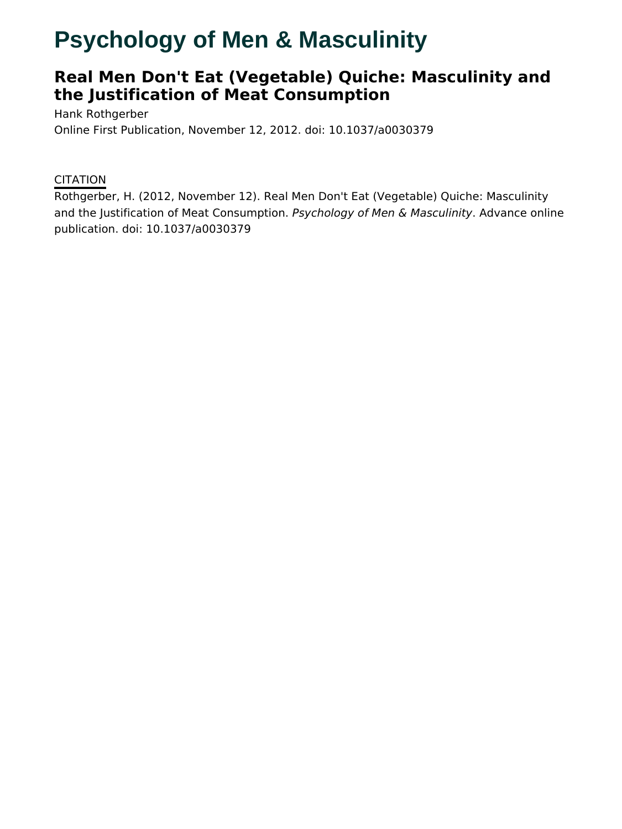# **Psychology of Men & Masculinity**

# **Real Men Don't Eat (Vegetable) Quiche: Masculinity and the Justification of Meat Consumption**

Hank Rothgerber Online First Publication, November 12, 2012. doi: 10.1037/a0030379

# **CITATION**

Rothgerber, H. (2012, November 12). Real Men Don't Eat (Vegetable) Quiche: Masculinity and the Justification of Meat Consumption. Psychology of Men & Masculinity. Advance online publication. doi: 10.1037/a0030379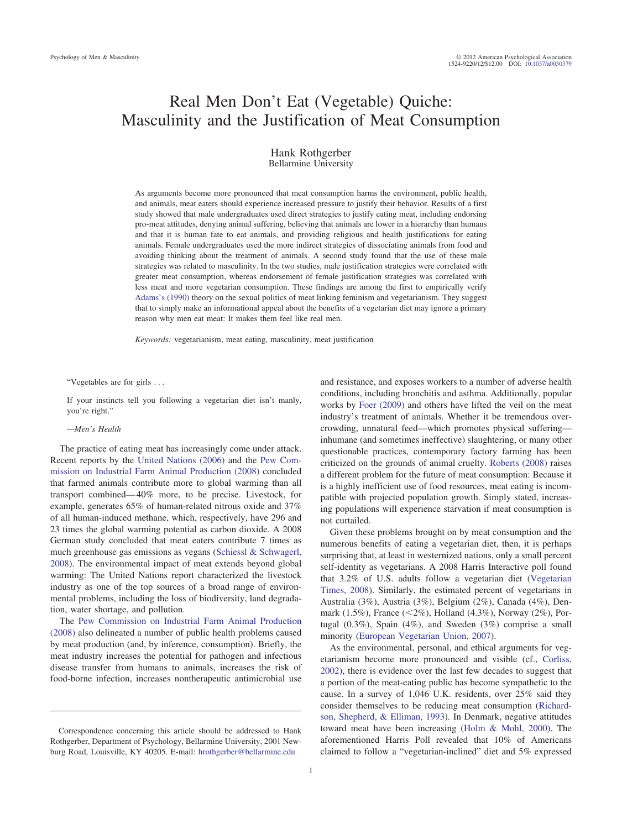# Real Men Don't Eat (Vegetable) Quiche: Masculinity and the Justification of Meat Consumption

#### Hank Rothgerber Bellarmine University

As arguments become more pronounced that meat consumption harms the environment, public health, and animals, meat eaters should experience increased pressure to justify their behavior. Results of a first study showed that male undergraduates used direct strategies to justify eating meat, including endorsing pro-meat attitudes, denying animal suffering, believing that animals are lower in a hierarchy than humans and that it is human fate to eat animals, and providing religious and health justifications for eating animals. Female undergraduates used the more indirect strategies of dissociating animals from food and avoiding thinking about the treatment of animals. A second study found that the use of these male strategies was related to masculinity. In the two studies, male justification strategies were correlated with greater meat consumption, whereas endorsement of female justification strategies was correlated with less meat and more vegetarian consumption. These findings are among the first to empirically verify Adams's (1990) theory on the sexual politics of meat linking feminism and vegetarianism. They suggest that to simply make an informational appeal about the benefits of a vegetarian diet may ignore a primary reason why men eat meat: It makes them feel like real men.

*Keywords:* vegetarianism, meat eating, masculinity, meat justification

#### "Vegetables are for girls . . .

If your instincts tell you following a vegetarian diet isn't manly, you're right."

#### *—Men's Health*

The practice of eating meat has increasingly come under attack. Recent reports by the United Nations (2006) and the Pew Commission on Industrial Farm Animal Production (2008) concluded that farmed animals contribute more to global warming than all transport combined— 40% more, to be precise. Livestock, for example, generates 65% of human-related nitrous oxide and 37% of all human-induced methane, which, respectively, have 296 and 23 times the global warming potential as carbon dioxide. A 2008 German study concluded that meat eaters contribute 7 times as much greenhouse gas emissions as vegans (Schiessl & Schwagerl, 2008). The environmental impact of meat extends beyond global warming: The United Nations report characterized the livestock industry as one of the top sources of a broad range of environmental problems, including the loss of biodiversity, land degradation, water shortage, and pollution.

The Pew Commission on Industrial Farm Animal Production (2008) also delineated a number of public health problems caused by meat production (and, by inference, consumption). Briefly, the meat industry increases the potential for pathogen and infectious disease transfer from humans to animals, increases the risk of food-borne infection, increases nontherapeutic antimicrobial use

and resistance, and exposes workers to a number of adverse health conditions, including bronchitis and asthma. Additionally, popular works by Foer (2009) and others have lifted the veil on the meat industry's treatment of animals. Whether it be tremendous overcrowding, unnatural feed—which promotes physical suffering inhumane (and sometimes ineffective) slaughtering, or many other questionable practices, contemporary factory farming has been criticized on the grounds of animal cruelty. Roberts (2008) raises a different problem for the future of meat consumption: Because it is a highly inefficient use of food resources, meat eating is incompatible with projected population growth. Simply stated, increasing populations will experience starvation if meat consumption is not curtailed.

Given these problems brought on by meat consumption and the numerous benefits of eating a vegetarian diet, then, it is perhaps surprising that, at least in westernized nations, only a small percent self-identity as vegetarians. A 2008 Harris Interactive poll found that 3.2% of U.S. adults follow a vegetarian diet (Vegetarian Times, 2008). Similarly, the estimated percent of vegetarians in Australia (3%), Austria (3%), Belgium (2%), Canada (4%), Denmark (1.5%), France (<2%), Holland (4.3%), Norway (2%), Portugal (0.3%), Spain (4%), and Sweden (3%) comprise a small minority (European Vegetarian Union, 2007).

As the environmental, personal, and ethical arguments for vegetarianism become more pronounced and visible (cf., Corliss, 2002), there is evidence over the last few decades to suggest that a portion of the meat-eating public has become sympathetic to the cause. In a survey of 1,046 U.K. residents, over 25% said they consider themselves to be reducing meat consumption (Richardson, Shepherd, & Elliman, 1993). In Denmark, negative attitudes toward meat have been increasing (Holm & Mohl, 2000). The aforementioned Harris Poll revealed that 10% of Americans claimed to follow a "vegetarian-inclined" diet and 5% expressed

Correspondence concerning this article should be addressed to Hank Rothgerber, Department of Psychology, Bellarmine University, 2001 Newburg Road, Louisville, KY 40205. E-mail: hrothgerber@bellarmine.edu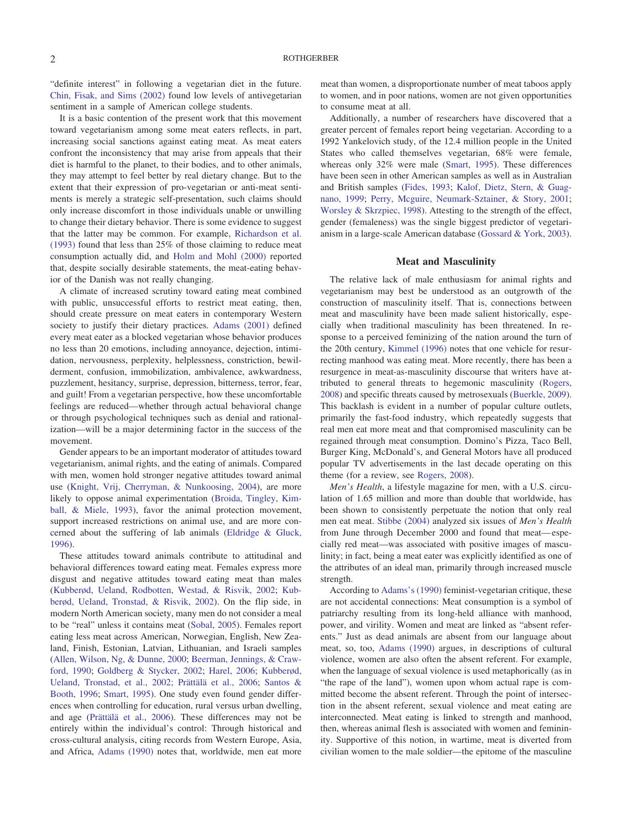"definite interest" in following a vegetarian diet in the future. Chin, Fisak, and Sims (2002) found low levels of antivegetarian sentiment in a sample of American college students.

It is a basic contention of the present work that this movement toward vegetarianism among some meat eaters reflects, in part, increasing social sanctions against eating meat. As meat eaters confront the inconsistency that may arise from appeals that their diet is harmful to the planet, to their bodies, and to other animals, they may attempt to feel better by real dietary change. But to the extent that their expression of pro-vegetarian or anti-meat sentiments is merely a strategic self-presentation, such claims should only increase discomfort in those individuals unable or unwilling to change their dietary behavior. There is some evidence to suggest that the latter may be common. For example, Richardson et al. (1993) found that less than 25% of those claiming to reduce meat consumption actually did, and Holm and Mohl (2000) reported that, despite socially desirable statements, the meat-eating behavior of the Danish was not really changing.

A climate of increased scrutiny toward eating meat combined with public, unsuccessful efforts to restrict meat eating, then, should create pressure on meat eaters in contemporary Western society to justify their dietary practices. Adams (2001) defined every meat eater as a blocked vegetarian whose behavior produces no less than 20 emotions, including annoyance, dejection, intimidation, nervousness, perplexity, helplessness, constriction, bewilderment, confusion, immobilization, ambivalence, awkwardness, puzzlement, hesitancy, surprise, depression, bitterness, terror, fear, and guilt! From a vegetarian perspective, how these uncomfortable feelings are reduced—whether through actual behavioral change or through psychological techniques such as denial and rationalization—will be a major determining factor in the success of the movement.

Gender appears to be an important moderator of attitudes toward vegetarianism, animal rights, and the eating of animals. Compared with men, women hold stronger negative attitudes toward animal use (Knight, Vrij, Cherryman, & Nunkoosing, 2004), are more likely to oppose animal experimentation (Broida, Tingley, Kimball, & Miele, 1993), favor the animal protection movement, support increased restrictions on animal use, and are more concerned about the suffering of lab animals (Eldridge & Gluck, 1996).

These attitudes toward animals contribute to attitudinal and behavioral differences toward eating meat. Females express more disgust and negative attitudes toward eating meat than males (Kubberød, Ueland, Rodbotten, Westad, & Risvik, 2002; Kubberød, Ueland, Tronstad, & Risvik, 2002). On the flip side, in modern North American society, many men do not consider a meal to be "real" unless it contains meat (Sobal, 2005). Females report eating less meat across American, Norwegian, English, New Zealand, Finish, Estonian, Latvian, Lithuanian, and Israeli samples (Allen, Wilson, Ng, & Dunne, 2000; Beerman, Jennings, & Crawford, 1990; Goldberg & Stycker, 2002; Harel, 2006; Kubberød, Ueland, Tronstad, et al., 2002; Prättälä et al., 2006; Santos & Booth, 1996; Smart, 1995). One study even found gender differences when controlling for education, rural versus urban dwelling, and age (Prättälä et al., 2006). These differences may not be entirely within the individual's control: Through historical and cross-cultural analysis, citing records from Western Europe, Asia, and Africa, Adams (1990) notes that, worldwide, men eat more meat than women, a disproportionate number of meat taboos apply to women, and in poor nations, women are not given opportunities to consume meat at all.

Additionally, a number of researchers have discovered that a greater percent of females report being vegetarian. According to a 1992 Yankelovich study, of the 12.4 million people in the United States who called themselves vegetarian, 68% were female, whereas only 32% were male (Smart, 1995). These differences have been seen in other American samples as well as in Australian and British samples (Fides, 1993; Kalof, Dietz, Stern, & Guagnano, 1999; Perry, Mcguire, Neumark-Sztainer, & Story, 2001; Worsley & Skrzpiec, 1998). Attesting to the strength of the effect, gender (femaleness) was the single biggest predictor of vegetarianism in a large-scale American database (Gossard & York, 2003).

#### **Meat and Masculinity**

The relative lack of male enthusiasm for animal rights and vegetarianism may best be understood as an outgrowth of the construction of masculinity itself. That is, connections between meat and masculinity have been made salient historically, especially when traditional masculinity has been threatened. In response to a perceived feminizing of the nation around the turn of the 20th century, Kimmel (1996) notes that one vehicle for resurrecting manhood was eating meat. More recently, there has been a resurgence in meat-as-masculinity discourse that writers have attributed to general threats to hegemonic masculinity (Rogers, 2008) and specific threats caused by metrosexuals (Buerkle, 2009). This backlash is evident in a number of popular culture outlets, primarily the fast-food industry, which repeatedly suggests that real men eat more meat and that compromised masculinity can be regained through meat consumption. Domino's Pizza, Taco Bell, Burger King, McDonald's, and General Motors have all produced popular TV advertisements in the last decade operating on this theme (for a review, see Rogers, 2008).

*Men's Health*, a lifestyle magazine for men, with a U.S. circulation of 1.65 million and more than double that worldwide, has been shown to consistently perpetuate the notion that only real men eat meat. Stibbe (2004) analyzed six issues of *Men's Health* from June through December 2000 and found that meat— especially red meat—was associated with positive images of masculinity; in fact, being a meat eater was explicitly identified as one of the attributes of an ideal man, primarily through increased muscle strength.

According to Adams's (1990) feminist-vegetarian critique, these are not accidental connections: Meat consumption is a symbol of patriarchy resulting from its long-held alliance with manhood, power, and virility. Women and meat are linked as "absent referents." Just as dead animals are absent from our language about meat, so, too, Adams (1990) argues, in descriptions of cultural violence, women are also often the absent referent. For example, when the language of sexual violence is used metaphorically (as in "the rape of the land"), women upon whom actual rape is committed become the absent referent. Through the point of intersection in the absent referent, sexual violence and meat eating are interconnected. Meat eating is linked to strength and manhood, then, whereas animal flesh is associated with women and femininity. Supportive of this notion, in wartime, meat is diverted from civilian women to the male soldier—the epitome of the masculine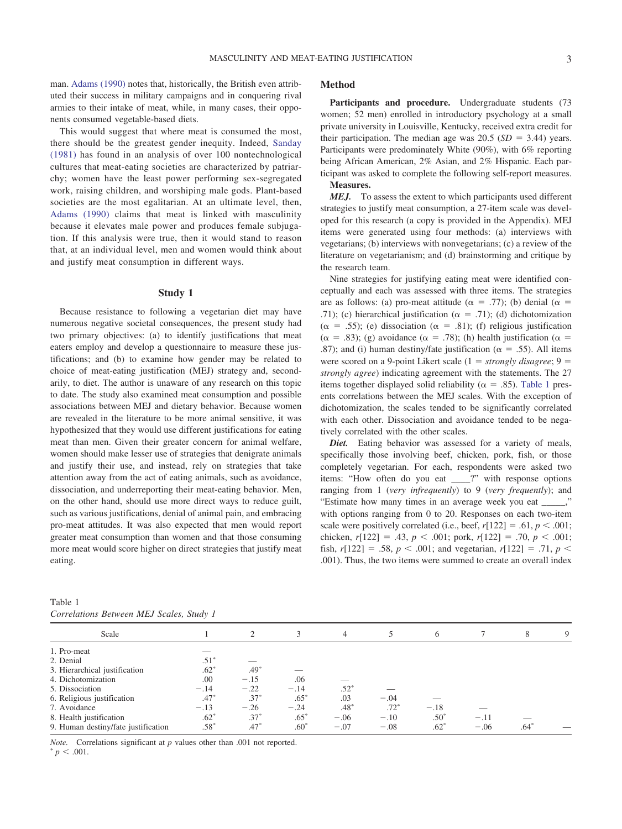man. Adams (1990) notes that, historically, the British even attributed their success in military campaigns and in conquering rival armies to their intake of meat, while, in many cases, their opponents consumed vegetable-based diets.

This would suggest that where meat is consumed the most, there should be the greatest gender inequity. Indeed, Sanday (1981) has found in an analysis of over 100 nontechnological cultures that meat-eating societies are characterized by patriarchy; women have the least power performing sex-segregated work, raising children, and worshiping male gods. Plant-based societies are the most egalitarian. At an ultimate level, then, Adams (1990) claims that meat is linked with masculinity because it elevates male power and produces female subjugation. If this analysis were true, then it would stand to reason that, at an individual level, men and women would think about and justify meat consumption in different ways.

#### **Study 1**

Because resistance to following a vegetarian diet may have numerous negative societal consequences, the present study had two primary objectives: (a) to identify justifications that meat eaters employ and develop a questionnaire to measure these justifications; and (b) to examine how gender may be related to choice of meat-eating justification (MEJ) strategy and, secondarily, to diet. The author is unaware of any research on this topic to date. The study also examined meat consumption and possible associations between MEJ and dietary behavior. Because women are revealed in the literature to be more animal sensitive, it was hypothesized that they would use different justifications for eating meat than men. Given their greater concern for animal welfare, women should make lesser use of strategies that denigrate animals and justify their use, and instead, rely on strategies that take attention away from the act of eating animals, such as avoidance, dissociation, and underreporting their meat-eating behavior. Men, on the other hand, should use more direct ways to reduce guilt, such as various justifications, denial of animal pain, and embracing pro-meat attitudes. It was also expected that men would report greater meat consumption than women and that those consuming more meat would score higher on direct strategies that justify meat eating.

# **Method**

Participants and procedure. Undergraduate students (73 women; 52 men) enrolled in introductory psychology at a small private university in Louisville, Kentucky, received extra credit for their participation. The median age was  $20.5$  ( $SD = 3.44$ ) years. Participants were predominately White (90%), with 6% reporting being African American, 2% Asian, and 2% Hispanic. Each participant was asked to complete the following self-report measures. **Measures.**

*MEJ.* To assess the extent to which participants used different strategies to justify meat consumption, a 27-item scale was developed for this research (a copy is provided in the Appendix). MEJ items were generated using four methods: (a) interviews with vegetarians; (b) interviews with nonvegetarians; (c) a review of the literature on vegetarianism; and (d) brainstorming and critique by the research team.

Nine strategies for justifying eating meat were identified conceptually and each was assessed with three items. The strategies are as follows: (a) pro-meat attitude ( $\alpha = .77$ ); (b) denial ( $\alpha =$ .71); (c) hierarchical justification ( $\alpha = .71$ ); (d) dichotomization  $(\alpha = .55)$ ; (e) dissociation ( $\alpha = .81$ ); (f) religious justification  $(\alpha = .83)$ ; (g) avoidance ( $\alpha = .78$ ); (h) health justification ( $\alpha =$ .87); and (i) human destiny/fate justification ( $\alpha = .55$ ). All items were scored on a 9-point Likert scale  $(1 = strongly \, disagree; 9 =$ *strongly agree*) indicating agreement with the statements. The 27 items together displayed solid reliability ( $\alpha = .85$ ). Table 1 presents correlations between the MEJ scales. With the exception of dichotomization, the scales tended to be significantly correlated with each other. Dissociation and avoidance tended to be negatively correlated with the other scales.

*Diet.* Eating behavior was assessed for a variety of meals, specifically those involving beef, chicken, pork, fish, or those completely vegetarian. For each, respondents were asked two items: "How often do you eat \_\_\_\_?" with response options ranging from 1 (*very infrequently*) to 9 (*very frequently*); and "Estimate how many times in an average week you eat \_\_\_\_\_," with options ranging from 0 to 20. Responses on each two-item scale were positively correlated (i.e., beef,  $r[122] = .61, p < .001;$ chicken,  $r[122] = .43$ ,  $p < .001$ ; pork,  $r[122] = .70$ ,  $p < .001$ ; fish,  $r[122] = .58$ ,  $p < .001$ ; and vegetarian,  $r[122] = .71$ ,  $p <$ .001). Thus, the two items were summed to create an overall index

|               |        |        | $\overline{4}$ |        | 6      |        | 8      | 9 |
|---------------|--------|--------|----------------|--------|--------|--------|--------|---|
|               |        |        |                |        |        |        |        |   |
| $.51^{\circ}$ |        |        |                |        |        |        |        |   |
| $.62*$        | $.49*$ |        |                |        |        |        |        |   |
| .00           | $-.15$ | .06    |                |        |        |        |        |   |
| $-.14$        | $-.22$ | $-.14$ | $.52*$         |        |        |        |        |   |
| $.47*$        | $.37*$ | $.65*$ | .03            | $-.04$ |        |        |        |   |
| $-.13$        | $-.26$ | $-.24$ | $.48*$         | $.72*$ | $-.18$ |        |        |   |
| $.62*$        | $.37*$ | $.65*$ | $-.06$         | $-.10$ | $.50*$ | $-.11$ |        |   |
| $.58*$        | $.47*$ | $.60*$ | $-.07$         | $-.08$ | $.62*$ | $-.06$ | $.64*$ |   |
|               |        |        |                |        |        |        |        |   |

Table 1 *Correlations Between MEJ Scales, Study 1*

*Note.* Correlations significant at *p* values other than .001 not reported.  $\binom{p}{k}$   $\leq$  .001.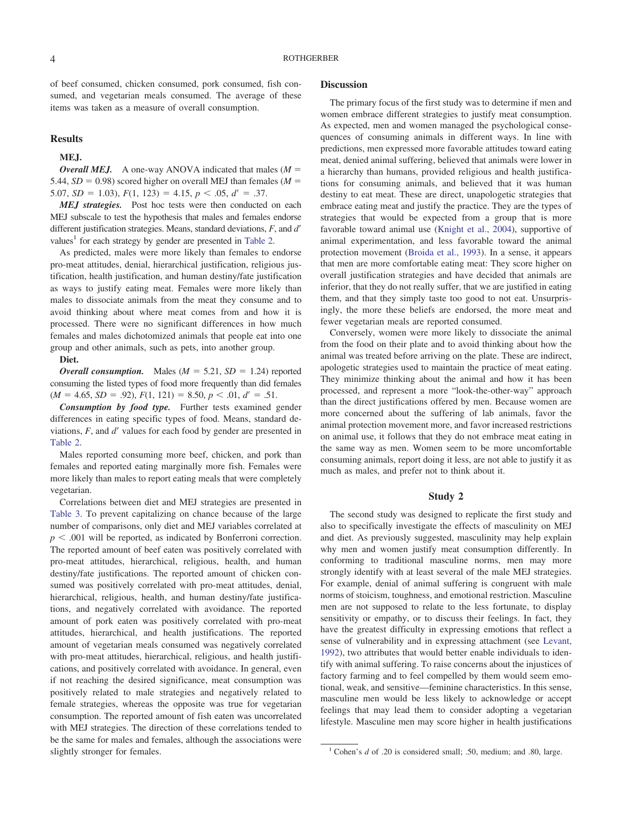of beef consumed, chicken consumed, pork consumed, fish consumed, and vegetarian meals consumed. The average of these items was taken as a measure of overall consumption.

#### **Results**

#### **MEJ.**

*Overall MEJ.* A one-way ANOVA indicated that males  $(M =$ 5.44,  $SD = 0.98$ ) scored higher on overall MEJ than females ( $M =$ 5.07,  $SD = 1.03$ ,  $F(1, 123) = 4.15$ ,  $p < .05$ ,  $d' = .37$ .

*MEJ strategies.* Post hoc tests were then conducted on each MEJ subscale to test the hypothesis that males and females endorse different justification strategies. Means, standard deviations, *F*, and *d*= values<sup>1</sup> for each strategy by gender are presented in Table 2.

As predicted, males were more likely than females to endorse pro-meat attitudes, denial, hierarchical justification, religious justification, health justification, and human destiny/fate justification as ways to justify eating meat. Females were more likely than males to dissociate animals from the meat they consume and to avoid thinking about where meat comes from and how it is processed. There were no significant differences in how much females and males dichotomized animals that people eat into one group and other animals, such as pets, into another group.

#### **Diet.**

*Overall consumption.* Males ( $M = 5.21$ ,  $SD = 1.24$ ) reported consuming the listed types of food more frequently than did females  $(M = 4.65, SD = .92), F(1, 121) = 8.50, p < .01, d' = .51.$ 

*Consumption by food type.* Further tests examined gender differences in eating specific types of food. Means, standard deviations,  $F$ , and  $d'$  values for each food by gender are presented in Table 2.

Males reported consuming more beef, chicken, and pork than females and reported eating marginally more fish. Females were more likely than males to report eating meals that were completely vegetarian.

Correlations between diet and MEJ strategies are presented in Table 3. To prevent capitalizing on chance because of the large number of comparisons, only diet and MEJ variables correlated at  $p < .001$  will be reported, as indicated by Bonferroni correction. The reported amount of beef eaten was positively correlated with pro-meat attitudes, hierarchical, religious, health, and human destiny/fate justifications. The reported amount of chicken consumed was positively correlated with pro-meat attitudes, denial, hierarchical, religious, health, and human destiny/fate justifications, and negatively correlated with avoidance. The reported amount of pork eaten was positively correlated with pro-meat attitudes, hierarchical, and health justifications. The reported amount of vegetarian meals consumed was negatively correlated with pro-meat attitudes, hierarchical, religious, and health justifications, and positively correlated with avoidance. In general, even if not reaching the desired significance, meat consumption was positively related to male strategies and negatively related to female strategies, whereas the opposite was true for vegetarian consumption. The reported amount of fish eaten was uncorrelated with MEJ strategies. The direction of these correlations tended to be the same for males and females, although the associations were slightly stronger for females.

### **Discussion**

The primary focus of the first study was to determine if men and women embrace different strategies to justify meat consumption. As expected, men and women managed the psychological consequences of consuming animals in different ways. In line with predictions, men expressed more favorable attitudes toward eating meat, denied animal suffering, believed that animals were lower in a hierarchy than humans, provided religious and health justifications for consuming animals, and believed that it was human destiny to eat meat. These are direct, unapologetic strategies that embrace eating meat and justify the practice. They are the types of strategies that would be expected from a group that is more favorable toward animal use (Knight et al., 2004), supportive of animal experimentation, and less favorable toward the animal protection movement (Broida et al., 1993). In a sense, it appears that men are more comfortable eating meat: They score higher on overall justification strategies and have decided that animals are inferior, that they do not really suffer, that we are justified in eating them, and that they simply taste too good to not eat. Unsurprisingly, the more these beliefs are endorsed, the more meat and fewer vegetarian meals are reported consumed.

Conversely, women were more likely to dissociate the animal from the food on their plate and to avoid thinking about how the animal was treated before arriving on the plate. These are indirect, apologetic strategies used to maintain the practice of meat eating. They minimize thinking about the animal and how it has been processed, and represent a more "look-the-other-way" approach than the direct justifications offered by men. Because women are more concerned about the suffering of lab animals, favor the animal protection movement more, and favor increased restrictions on animal use, it follows that they do not embrace meat eating in the same way as men. Women seem to be more uncomfortable consuming animals, report doing it less, are not able to justify it as much as males, and prefer not to think about it.

#### **Study 2**

The second study was designed to replicate the first study and also to specifically investigate the effects of masculinity on MEJ and diet. As previously suggested, masculinity may help explain why men and women justify meat consumption differently. In conforming to traditional masculine norms, men may more strongly identify with at least several of the male MEJ strategies. For example, denial of animal suffering is congruent with male norms of stoicism, toughness, and emotional restriction. Masculine men are not supposed to relate to the less fortunate, to display sensitivity or empathy, or to discuss their feelings. In fact, they have the greatest difficulty in expressing emotions that reflect a sense of vulnerability and in expressing attachment (see Levant, 1992), two attributes that would better enable individuals to identify with animal suffering. To raise concerns about the injustices of factory farming and to feel compelled by them would seem emotional, weak, and sensitive—feminine characteristics. In this sense, masculine men would be less likely to acknowledge or accept feelings that may lead them to consider adopting a vegetarian lifestyle. Masculine men may score higher in health justifications

<sup>&</sup>lt;sup>1</sup> Cohen's *d* of .20 is considered small; .50, medium; and .80, large.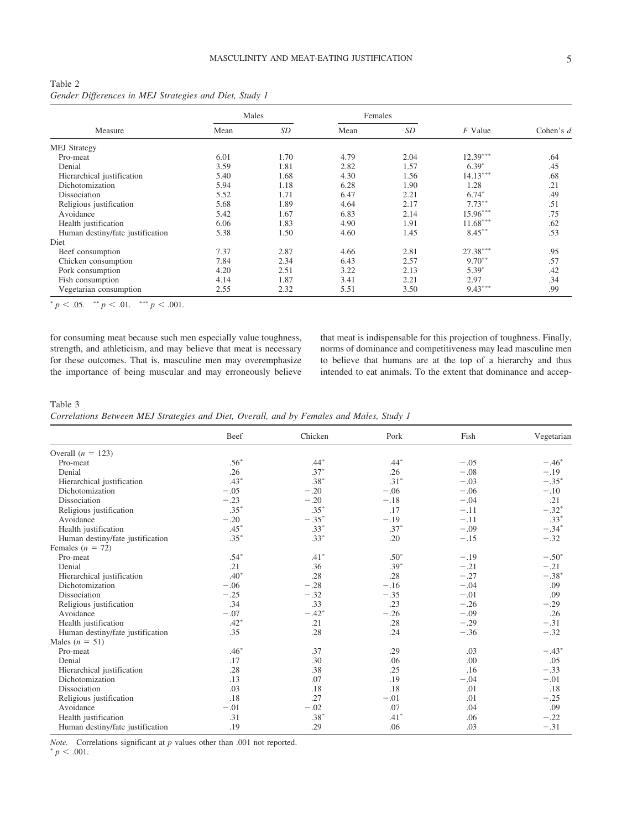| Table 2                                                |  |  |  |  |
|--------------------------------------------------------|--|--|--|--|
| Gender Differences in MEJ Strategies and Diet, Study 1 |  |  |  |  |

|                                  | Males |      | Females |      |            |             |
|----------------------------------|-------|------|---------|------|------------|-------------|
| Measure                          | Mean  | SD   | Mean    | SD   | $F$ Value  | Cohen's $d$ |
| <b>MEJ Strategy</b>              |       |      |         |      |            |             |
| Pro-meat                         | 6.01  | 1.70 | 4.79    | 2.04 | $12.39***$ | .64         |
| Denial                           | 3.59  | 1.81 | 2.82    | 1.57 | $6.39*$    | .45         |
| Hierarchical justification       | 5.40  | 1.68 | 4.30    | 1.56 | $14.13***$ | .68         |
| Dichotomization                  | 5.94  | 1.18 | 6.28    | 1.90 | 1.28       | .21         |
| Dissociation                     | 5.52  | 1.71 | 6.47    | 2.21 | $6.74*$    | .49         |
| Religious justification          | 5.68  | 1.89 | 4.64    | 2.17 | $7.73***$  | .51         |
| Avoidance                        | 5.42  | 1.67 | 6.83    | 2.14 | $15.96***$ | .75         |
| Health justification             | 6.06  | 1.83 | 4.90    | 1.91 | $11.68***$ | .62         |
| Human destiny/fate justification | 5.38  | 1.50 | 4.60    | 1.45 | $8.45***$  | .53         |
| Diet                             |       |      |         |      |            |             |
| Beef consumption                 | 7.37  | 2.87 | 4.66    | 2.81 | $27.38***$ | .95         |
| Chicken consumption              | 7.84  | 2.34 | 6.43    | 2.57 | $9.70***$  | .57         |
| Pork consumption                 | 4.20  | 2.51 | 3.22    | 2.13 | $5.39*$    | .42         |
| Fish consumption                 | 4.14  | 1.87 | 3.41    | 2.21 | 2.97       | .34         |
| Vegetarian consumption           | 2.55  | 2.32 | 5.51    | 3.50 | $9.43***$  | .99         |

 $p^* p < .05.$   $p^* p < .01.$   $p^* p < .001.$ 

for consuming meat because such men especially value toughness, strength, and athleticism, and may believe that meat is necessary for these outcomes. That is, masculine men may overemphasize the importance of being muscular and may erroneously believe that meat is indispensable for this projection of toughness. Finally, norms of dominance and competitiveness may lead masculine men to believe that humans are at the top of a hierarchy and thus intended to eat animals. To the extent that dominance and accep-

Table 3 *Correlations Between MEJ Strategies and Diet, Overall, and by Females and Males, Study 1*

|                                  | <b>Beef</b> | Chicken | Pork   | Fish   | Vegetarian |
|----------------------------------|-------------|---------|--------|--------|------------|
| Overall $(n = 123)$              |             |         |        |        |            |
| Pro-meat                         | $.56*$      | $.44*$  | $.44*$ | $-.05$ | $-.46^*$   |
| Denial                           | .26         | $.37*$  | .26    | $-.08$ | $-.19$     |
| Hierarchical justification       | $.43*$      | $.38*$  | $.31*$ | $-.03$ | $-.35*$    |
| Dichotomization                  | $-.05$      | $-.20$  | $-.06$ | $-.06$ | $-.10$     |
| Dissociation                     | $-.23$      | $-.20$  | $-.18$ | $-.04$ | .21        |
| Religious justification          | $.35*$      | $.35*$  | .17    | $-.11$ | $-.32*$    |
| Avoidance                        | $-.20$      | $-.35*$ | $-.19$ | $-.11$ | $.33*$     |
| Health justification             | $.45*$      | $.33*$  | $.37*$ | $-.09$ | $-.34*$    |
| Human destiny/fate justification | $.35*$      | $.33*$  | .20    | $-.15$ | $-.32$     |
| Females ( $n = 72$ )             |             |         |        |        |            |
| Pro-meat                         | $.54*$      | $.41*$  | $.50*$ | $-.19$ | $-.50*$    |
| Denial                           | .21         | .36     | $.39*$ | $-.21$ | $-.21$     |
| Hierarchical justification       | $.40*$      | .28     | .28    | $-.27$ | $-.38*$    |
| Dichotomization                  | $-.06$      | $-.28$  | $-.16$ | $-.04$ | .09        |
| Dissociation                     | $-.25$      | $-.32$  | $-.35$ | $-.01$ | .09        |
| Religious justification          | .34         | .33     | .23    | $-.26$ | $-.29$     |
| Avoidance                        | $-.07$      | $-.42*$ | $-.26$ | $-.09$ | .26        |
| Health justification             | $.42*$      | .21     | .28    | $-.29$ | $-.31$     |
| Human destiny/fate justification | .35         | .28     | .24    | $-.36$ | $-.32$     |
| Males $(n = 51)$                 |             |         |        |        |            |
| Pro-meat                         | $.46*$      | .37     | .29    | .03    | $-.43*$    |
| Denial                           | .17         | .30     | .06    | .00    | .05        |
| Hierarchical justification       | .28         | .38     | .25    | .16    | $-.33$     |
| Dichotomization                  | .13         | .07     | .19    | $-.04$ | $-.01$     |
| Dissociation                     | .03         | .18     | .18    | .01    | .18        |
| Religious justification          | .18         | .27     | $-.01$ | .01    | $-.25$     |
| Avoidance                        | $-.01$      | $-.02$  | .07    | .04    | .09        |
| Health justification             | .31         | $.38*$  | $.41*$ | .06    | $-.22$     |
| Human destiny/fate justification | .19         | .29     | .06    | .03    | $-.31$     |

*Note.* Correlations significant at *p* values other than .001 not reported.  $\binom{p}{k}$  < .001.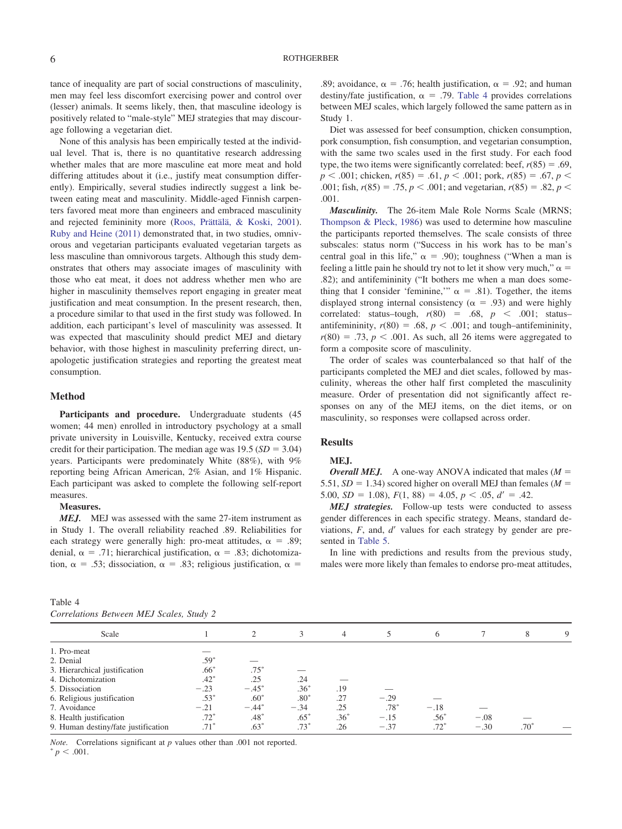tance of inequality are part of social constructions of masculinity, men may feel less discomfort exercising power and control over (lesser) animals. It seems likely, then, that masculine ideology is positively related to "male-style" MEJ strategies that may discourage following a vegetarian diet.

None of this analysis has been empirically tested at the individual level. That is, there is no quantitative research addressing whether males that are more masculine eat more meat and hold differing attitudes about it (i.e., justify meat consumption differently). Empirically, several studies indirectly suggest a link between eating meat and masculinity. Middle-aged Finnish carpenters favored meat more than engineers and embraced masculinity and rejected femininity more (Roos, Prättälä, & Koski, 2001). Ruby and Heine (2011) demonstrated that, in two studies, omnivorous and vegetarian participants evaluated vegetarian targets as less masculine than omnivorous targets. Although this study demonstrates that others may associate images of masculinity with those who eat meat, it does not address whether men who are higher in masculinity themselves report engaging in greater meat justification and meat consumption. In the present research, then, a procedure similar to that used in the first study was followed. In addition, each participant's level of masculinity was assessed. It was expected that masculinity should predict MEJ and dietary behavior, with those highest in masculinity preferring direct, unapologetic justification strategies and reporting the greatest meat consumption.

#### **Method**

Participants and procedure. Undergraduate students (45 women; 44 men) enrolled in introductory psychology at a small private university in Louisville, Kentucky, received extra course credit for their participation. The median age was  $19.5 (SD = 3.04)$ years. Participants were predominately White (88%), with 9% reporting being African American, 2% Asian, and 1% Hispanic. Each participant was asked to complete the following self-report measures.

#### **Measures.**

*MEJ.* MEJ was assessed with the same 27-item instrument as in Study 1. The overall reliability reached .89. Reliabilities for each strategy were generally high: pro-meat attitudes,  $\alpha = .89$ ; denial,  $\alpha = .71$ ; hierarchical justification,  $\alpha = .83$ ; dichotomization,  $\alpha = .53$ ; dissociation,  $\alpha = .83$ ; religious justification,  $\alpha =$ 

| Scale                               |        | ↑        |               |        |        | $\sigma$ |        | 8      | 9 |
|-------------------------------------|--------|----------|---------------|--------|--------|----------|--------|--------|---|
| 1. Pro-meat                         |        |          |               |        |        |          |        |        |   |
| 2. Denial                           | $.59*$ |          |               |        |        |          |        |        |   |
| 3. Hierarchical justification       | $.66*$ | $.75*$   |               |        |        |          |        |        |   |
| 4. Dichotomization                  | $.42*$ | .25      | .24           |        |        |          |        |        |   |
| 5. Dissociation                     | $-.23$ | $-.45^*$ | $.36*$        | .19    |        |          |        |        |   |
| 6. Religious justification          | $.53*$ | $.60*$   | $.80^{\circ}$ | .27    | $-.29$ |          |        |        |   |
| 7. Avoidance                        | $-.21$ | $-.44*$  | $-.34$        | .25    | $.78*$ | $-.18$   |        |        |   |
| 8. Health justification             | $.72*$ | $.48*$   | $.65*$        | $.36*$ | $-.15$ | $.56*$   | $-.08$ |        |   |
| 9. Human destiny/fate justification | .71*   | $.63*$   | $.73*$        | .26    | $-.37$ | $.72*$   | $-.30$ | $.70*$ |   |

Table 4 *Correlations Between MEJ Scales, Study 2*

.89; avoidance,  $\alpha = .76$ ; health justification,  $\alpha = .92$ ; and human destiny/fate justification,  $\alpha = .79$ . Table 4 provides correlations between MEJ scales, which largely followed the same pattern as in Study 1.

Diet was assessed for beef consumption, chicken consumption, pork consumption, fish consumption, and vegetarian consumption, with the same two scales used in the first study. For each food type, the two items were significantly correlated: beef,  $r(85) = .69$ ,  $p < .001$ ; chicken,  $r(85) = .61$ ,  $p < .001$ ; pork,  $r(85) = .67$ ,  $p <$ .001; fish,  $r(85) = .75$ ,  $p < .001$ ; and vegetarian,  $r(85) = .82$ ,  $p < .001$ .001.

*Masculinity.* The 26-item Male Role Norms Scale (MRNS; Thompson & Pleck, 1986) was used to determine how masculine the participants reported themselves. The scale consists of three subscales: status norm ("Success in his work has to be man's central goal in this life,"  $\alpha$  = .90); toughness ("When a man is feeling a little pain he should try not to let it show very much,"  $\alpha$  = .82); and antifemininity ("It bothers me when a man does something that I consider 'feminine,'"  $\alpha = .81$ ). Together, the items displayed strong internal consistency ( $\alpha = .93$ ) and were highly correlated: status–tough,  $r(80) = .68$ ,  $p < .001$ ; status– antifemininity,  $r(80) = .68$ ,  $p < .001$ ; and tough–antifemininity,  $r(80) = .73$ ,  $p < .001$ . As such, all 26 items were aggregated to form a composite score of masculinity.

The order of scales was counterbalanced so that half of the participants completed the MEJ and diet scales, followed by masculinity, whereas the other half first completed the masculinity measure. Order of presentation did not significantly affect responses on any of the MEJ items, on the diet items, or on masculinity, so responses were collapsed across order.

# **Results**

#### **MEJ.**

*Overall MEJ.* A one-way ANOVA indicated that males ( $M =$ 5.51,  $SD = 1.34$ ) scored higher on overall MEJ than females ( $M =$ 5.00,  $SD = 1.08$ ),  $F(1, 88) = 4.05$ ,  $p < .05$ ,  $d' = .42$ .

*MEJ strategies.* Follow-up tests were conducted to assess gender differences in each specific strategy. Means, standard deviations,  $F$ , and,  $d'$  values for each strategy by gender are presented in Table 5.

In line with predictions and results from the previous study, males were more likely than females to endorse pro-meat attitudes,

*Note.* Correlations significant at *p* values other than .001 not reported.  $\binom{p}{k}$   $\leq$  .001.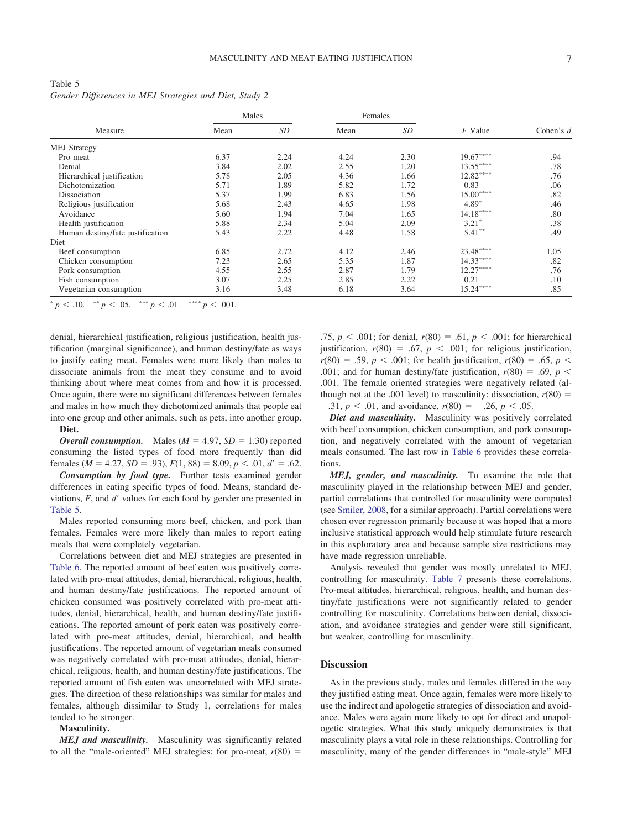Table 5 *Gender Differences in MEJ Strategies and Diet, Study 2*

|                                  | Males |           | Females |      |            |             |
|----------------------------------|-------|-----------|---------|------|------------|-------------|
| Measure                          | Mean  | <b>SD</b> | Mean    | SD   | $F$ Value  | Cohen's $d$ |
| <b>MEJ Strategy</b>              |       |           |         |      |            |             |
| Pro-meat                         | 6.37  | 2.24      | 4.24    | 2.30 | $19.67***$ | .94         |
| Denial                           | 3.84  | 2.02      | 2.55    | 1.20 | $13.55***$ | .78         |
| Hierarchical justification       | 5.78  | 2.05      | 4.36    | 1.66 | $12.82***$ | .76         |
| Dichotomization                  | 5.71  | 1.89      | 5.82    | 1.72 | 0.83       | .06         |
| Dissociation                     | 5.37  | 1.99      | 6.83    | 1.56 | $15.00***$ | .82         |
| Religious justification          | 5.68  | 2.43      | 4.65    | 1.98 | 4.89*      | .46         |
| Avoidance                        | 5.60  | 1.94      | 7.04    | 1.65 | $14.18***$ | .80         |
| Health justification             | 5.88  | 2.34      | 5.04    | 2.09 | $3.21*$    | .38         |
| Human destiny/fate justification | 5.43  | 2.22      | 4.48    | 1.58 | $5.41***$  | .49         |
| Diet                             |       |           |         |      |            |             |
| Beef consumption                 | 6.85  | 2.72      | 4.12    | 2.46 | $23.48***$ | 1.05        |
| Chicken consumption              | 7.23  | 2.65      | 5.35    | 1.87 | $14.33***$ | .82         |
| Pork consumption                 | 4.55  | 2.55      | 2.87    | 1.79 | $12.27***$ | .76         |
| Fish consumption                 | 3.07  | 2.25      | 2.85    | 2.22 | 0.21       | .10         |
| Vegetarian consumption           | 3.16  | 3.48      | 6.18    | 3.64 | $15.24***$ | .85         |

 $p^* p < .10.$   $p^* p < .05.$   $p^* p < .01.$   $p^* p < .001.$ 

denial, hierarchical justification, religious justification, health justification (marginal significance), and human destiny/fate as ways to justify eating meat. Females were more likely than males to dissociate animals from the meat they consume and to avoid thinking about where meat comes from and how it is processed. Once again, there were no significant differences between females and males in how much they dichotomized animals that people eat into one group and other animals, such as pets, into another group.

**Diet.**

*Overall consumption.* Males ( $M = 4.97$ ,  $SD = 1.30$ ) reported consuming the listed types of food more frequently than did females ( $M = 4.27$ ,  $SD = .93$ ),  $F(1, 88) = 8.09$ ,  $p < .01$ ,  $d' = .62$ .

*Consumption by food type.* Further tests examined gender differences in eating specific types of food. Means, standard deviations,  $F$ , and  $d'$  values for each food by gender are presented in Table 5.

Males reported consuming more beef, chicken, and pork than females. Females were more likely than males to report eating meals that were completely vegetarian.

Correlations between diet and MEJ strategies are presented in Table 6. The reported amount of beef eaten was positively correlated with pro-meat attitudes, denial, hierarchical, religious, health, and human destiny/fate justifications. The reported amount of chicken consumed was positively correlated with pro-meat attitudes, denial, hierarchical, health, and human destiny/fate justifications. The reported amount of pork eaten was positively correlated with pro-meat attitudes, denial, hierarchical, and health justifications. The reported amount of vegetarian meals consumed was negatively correlated with pro-meat attitudes, denial, hierarchical, religious, health, and human destiny/fate justifications. The reported amount of fish eaten was uncorrelated with MEJ strategies. The direction of these relationships was similar for males and females, although dissimilar to Study 1, correlations for males tended to be stronger.

#### **Masculinity.**

*MEJ and masculinity.* Masculinity was significantly related to all the "male-oriented" MEJ strategies: for pro-meat,  $r(80)$  =

.75,  $p < .001$ ; for denial,  $r(80) = .61$ ,  $p < .001$ ; for hierarchical justification,  $r(80) = .67$ ,  $p < .001$ ; for religious justification,  $r(80) = .59, p < .001$ ; for health justification,  $r(80) = .65, p <$ .001; and for human destiny/fate justification,  $r(80) = .69$ ,  $p <$ .001. The female oriented strategies were negatively related (although not at the .001 level) to masculinity: dissociation,  $r(80)$  =  $-0.31, p < 0.01$ , and avoidance,  $r(80) = -0.26, p < 0.05$ .

*Diet and masculinity.* Masculinity was positively correlated with beef consumption, chicken consumption, and pork consumption, and negatively correlated with the amount of vegetarian meals consumed. The last row in Table 6 provides these correlations.

*MEJ, gender, and masculinity.* To examine the role that masculinity played in the relationship between MEJ and gender, partial correlations that controlled for masculinity were computed (see Smiler, 2008, for a similar approach). Partial correlations were chosen over regression primarily because it was hoped that a more inclusive statistical approach would help stimulate future research in this exploratory area and because sample size restrictions may have made regression unreliable.

Analysis revealed that gender was mostly unrelated to MEJ, controlling for masculinity. Table 7 presents these correlations. Pro-meat attitudes, hierarchical, religious, health, and human destiny/fate justifications were not significantly related to gender controlling for masculinity. Correlations between denial, dissociation, and avoidance strategies and gender were still significant, but weaker, controlling for masculinity.

## **Discussion**

As in the previous study, males and females differed in the way they justified eating meat. Once again, females were more likely to use the indirect and apologetic strategies of dissociation and avoidance. Males were again more likely to opt for direct and unapologetic strategies. What this study uniquely demonstrates is that masculinity plays a vital role in these relationships. Controlling for masculinity, many of the gender differences in "male-style" MEJ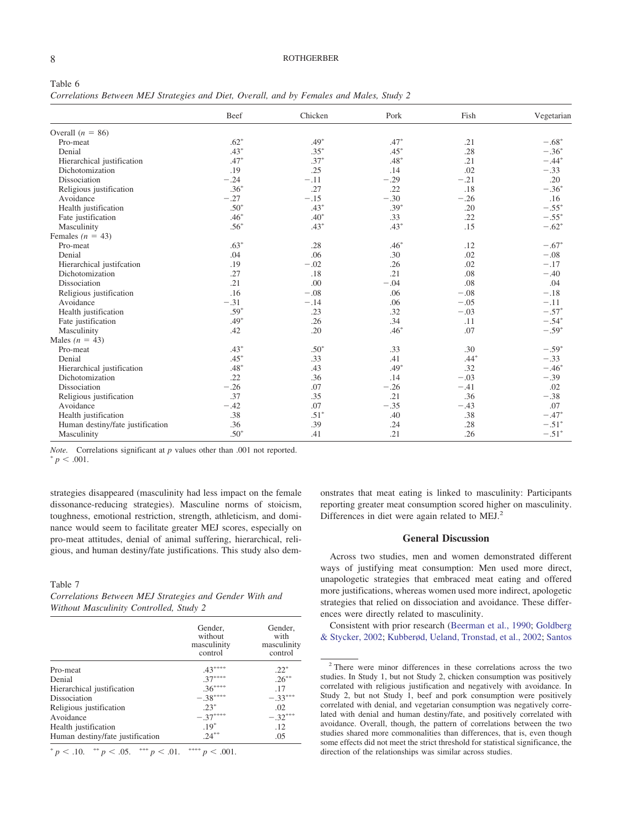#### 8 ROTHGERBER

Table 6

*Correlations Between MEJ Strategies and Diet, Overall, and by Females and Males, Study 2*

|                                  | Beef   | Chicken | Pork   | Fish   | Vegetarian |
|----------------------------------|--------|---------|--------|--------|------------|
| Overall $(n = 86)$               |        |         |        |        |            |
| Pro-meat                         | $.62*$ | $.49*$  | $.47*$ | .21    | $-.68*$    |
| Denial                           | $.43*$ | $.35*$  | $.45*$ | .28    | $-.36*$    |
| Hierarchical justification       | $.47*$ | $.37*$  | $.48*$ | .21    | $-.44*$    |
| Dichotomization                  | .19    | .25     | .14    | .02    | $-.33$     |
| Dissociation                     | $-.24$ | $-.11$  | $-.29$ | $-.21$ | .20        |
| Religious justification          | $.36*$ | .27     | .22    | .18    | $-.36*$    |
| Avoidance                        | $-.27$ | $-.15$  | $-.30$ | $-.26$ | .16        |
| Health justification             | $.50*$ | $.43*$  | $.39*$ | .20    | $-.55*$    |
| Fate justification               | $.46*$ | $.40*$  | .33    | .22    | $-.55*$    |
| Masculinity                      | $.56*$ | $.43*$  | $.43*$ | .15    | $-.62*$    |
| Females $(n = 43)$               |        |         |        |        |            |
| Pro-meat                         | $.63*$ | .28     | $.46*$ | .12    | $-.67*$    |
| Denial                           | .04    | .06     | .30    | .02    | $-.08$     |
| Hierarchical justifcation        | .19    | $-.02$  | .26    | .02    | $-.17$     |
| Dichotomization                  | .27    | .18     | .21    | .08    | $-.40$     |
| Dissociation                     | .21    | .00     | $-.04$ | .08    | .04        |
| Religious justification          | .16    | $-.08$  | .06    | $-.08$ | $-.18$     |
| Avoidance                        | $-.31$ | $-.14$  | .06    | $-.05$ | $-.11$     |
| Health justification             | $.59*$ | .23     | .32    | $-.03$ | $-.57*$    |
| Fate justification               | $.49*$ | .26     | .34    | .11    | $-.54*$    |
| Masculinity                      | .42    | .20     | $.46*$ | .07    | $-.59*$    |
| Males $(n = 43)$                 |        |         |        |        |            |
| Pro-meat                         | $.43*$ | $.50*$  | .33    | .30    | $-.59*$    |
| Denial                           | $.45*$ | .33     | .41    | $.44*$ | $-.33$     |
| Hierarchical justification       | $.48*$ | .43     | $.49*$ | .32    | $-.46*$    |
| Dichotomization                  | .22    | .36     | .14    | $-.03$ | $-.39$     |
| Dissociation                     | $-.26$ | .07     | $-.26$ | $-.41$ | .02        |
| Religious justification          | .37    | .35     | .21    | .36    | $-.38$     |
| Avoidance                        | $-.42$ | .07     | $-.35$ | $-.43$ | .07        |
| Health justification             | .38    | $.51*$  | .40    | .38    | $-.47*$    |
| Human destiny/fate justification | .36    | .39     | .24    | .28    | $-.51*$    |
| Masculinity                      | $.50*$ | .41     | .21    | .26    | $-.51*$    |

*Note.* Correlations significant at *p* values other than .001 not reported.  $\binom{p}{k}$   $p < .001$ .

strategies disappeared (masculinity had less impact on the female dissonance-reducing strategies). Masculine norms of stoicism, toughness, emotional restriction, strength, athleticism, and dominance would seem to facilitate greater MEJ scores, especially on pro-meat attitudes, denial of animal suffering, hierarchical, religious, and human destiny/fate justifications. This study also dem-

#### Table 7

| Correlations Between MEJ Strategies and Gender With and |  |
|---------------------------------------------------------|--|
| Without Masculinity Controlled, Study 2                 |  |

|                                  | Gender.<br>without<br>masculinity<br>control | Gender.<br>with<br>masculinity<br>control |
|----------------------------------|----------------------------------------------|-------------------------------------------|
| Pro-meat                         | $.43***$                                     | $22^*$                                    |
| Denial                           | $.37***$                                     | $.26***$                                  |
| Hierarchical justification       | $.36***$                                     | .17                                       |
| Dissociation                     | $-.38***$                                    | $-.33***$                                 |
| Religious justification          | $23^*$                                       | .02                                       |
| Avoidance                        | $-.37***$                                    | $-.32***$                                 |
| Health justification             | $.19*$                                       | .12                                       |
| Human destiny/fate justification | $.24***$                                     | .05                                       |

 $p < .10.$  *p*  $p < .05.$  *pp*  $p < .01.$  *pp*  $p < .001.$ 

onstrates that meat eating is linked to masculinity: Participants reporting greater meat consumption scored higher on masculinity. Differences in diet were again related to MEJ.<sup>2</sup>

#### **General Discussion**

Across two studies, men and women demonstrated different ways of justifying meat consumption: Men used more direct, unapologetic strategies that embraced meat eating and offered more justifications, whereas women used more indirect, apologetic strategies that relied on dissociation and avoidance. These differences were directly related to masculinity.

Consistent with prior research (Beerman et al., 1990; Goldberg & Stycker, 2002; Kubberød, Ueland, Tronstad, et al., 2002; Santos

<sup>2</sup> There were minor differences in these correlations across the two studies. In Study 1, but not Study 2, chicken consumption was positively correlated with religious justification and negatively with avoidance. In Study 2, but not Study 1, beef and pork consumption were positively correlated with denial, and vegetarian consumption was negatively correlated with denial and human destiny/fate, and positively correlated with avoidance. Overall, though, the pattern of correlations between the two studies shared more commonalities than differences, that is, even though some effects did not meet the strict threshold for statistical significance, the direction of the relationships was similar across studies.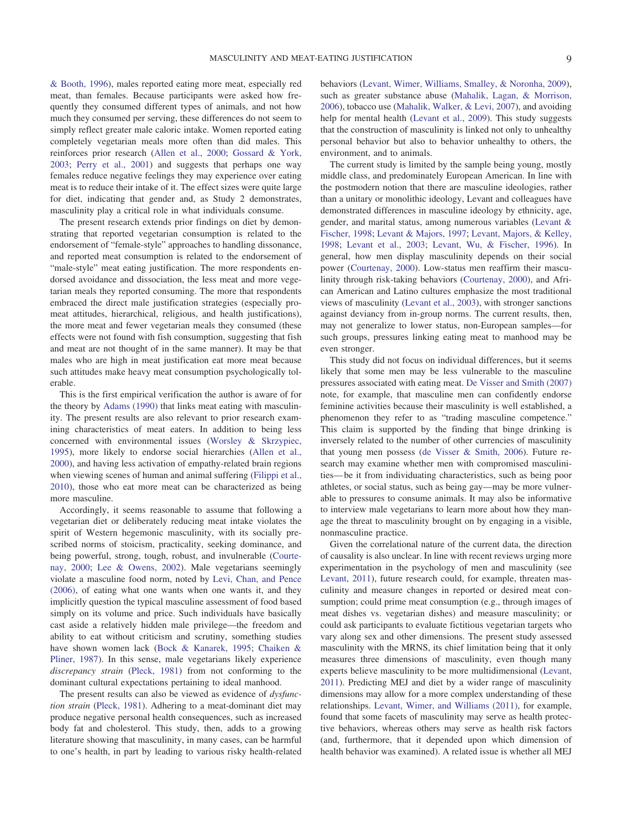& Booth, 1996), males reported eating more meat, especially red meat, than females. Because participants were asked how frequently they consumed different types of animals, and not how much they consumed per serving, these differences do not seem to simply reflect greater male caloric intake. Women reported eating completely vegetarian meals more often than did males. This reinforces prior research (Allen et al., 2000; Gossard & York, 2003; Perry et al., 2001) and suggests that perhaps one way females reduce negative feelings they may experience over eating meat is to reduce their intake of it. The effect sizes were quite large for diet, indicating that gender and, as Study 2 demonstrates, masculinity play a critical role in what individuals consume.

The present research extends prior findings on diet by demonstrating that reported vegetarian consumption is related to the endorsement of "female-style" approaches to handling dissonance, and reported meat consumption is related to the endorsement of "male-style" meat eating justification. The more respondents endorsed avoidance and dissociation, the less meat and more vegetarian meals they reported consuming. The more that respondents embraced the direct male justification strategies (especially promeat attitudes, hierarchical, religious, and health justifications), the more meat and fewer vegetarian meals they consumed (these effects were not found with fish consumption, suggesting that fish and meat are not thought of in the same manner). It may be that males who are high in meat justification eat more meat because such attitudes make heavy meat consumption psychologically tolerable.

This is the first empirical verification the author is aware of for the theory by Adams (1990) that links meat eating with masculinity. The present results are also relevant to prior research examining characteristics of meat eaters. In addition to being less concerned with environmental issues (Worsley & Skrzypiec, 1995), more likely to endorse social hierarchies (Allen et al., 2000), and having less activation of empathy-related brain regions when viewing scenes of human and animal suffering (Filippi et al., 2010), those who eat more meat can be characterized as being more masculine.

Accordingly, it seems reasonable to assume that following a vegetarian diet or deliberately reducing meat intake violates the spirit of Western hegemonic masculinity, with its socially prescribed norms of stoicism, practicality, seeking dominance, and being powerful, strong, tough, robust, and invulnerable (Courtenay, 2000; Lee & Owens, 2002). Male vegetarians seemingly violate a masculine food norm, noted by Levi, Chan, and Pence (2006), of eating what one wants when one wants it, and they implicitly question the typical masculine assessment of food based simply on its volume and price. Such individuals have basically cast aside a relatively hidden male privilege—the freedom and ability to eat without criticism and scrutiny, something studies have shown women lack (Bock & Kanarek, 1995; Chaiken & Pliner, 1987). In this sense, male vegetarians likely experience *discrepancy strain* (Pleck, 1981) from not conforming to the dominant cultural expectations pertaining to ideal manhood.

The present results can also be viewed as evidence of *dysfunction strain* (Pleck, 1981). Adhering to a meat-dominant diet may produce negative personal health consequences, such as increased body fat and cholesterol. This study, then, adds to a growing literature showing that masculinity, in many cases, can be harmful to one's health, in part by leading to various risky health-related behaviors (Levant, Wimer, Williams, Smalley, & Noronha, 2009), such as greater substance abuse (Mahalik, Lagan, & Morrison, 2006), tobacco use (Mahalik, Walker, & Levi, 2007), and avoiding help for mental health (Levant et al., 2009). This study suggests that the construction of masculinity is linked not only to unhealthy personal behavior but also to behavior unhealthy to others, the environment, and to animals.

The current study is limited by the sample being young, mostly middle class, and predominately European American. In line with the postmodern notion that there are masculine ideologies, rather than a unitary or monolithic ideology, Levant and colleagues have demonstrated differences in masculine ideology by ethnicity, age, gender, and marital status, among numerous variables (Levant & Fischer, 1998; Levant & Majors, 1997; Levant, Majors, & Kelley, 1998; Levant et al., 2003; Levant, Wu, & Fischer, 1996). In general, how men display masculinity depends on their social power (Courtenay, 2000). Low-status men reaffirm their masculinity through risk-taking behaviors (Courtenay, 2000), and African American and Latino cultures emphasize the most traditional views of masculinity (Levant et al., 2003), with stronger sanctions against deviancy from in-group norms. The current results, then, may not generalize to lower status, non-European samples—for such groups, pressures linking eating meat to manhood may be even stronger.

This study did not focus on individual differences, but it seems likely that some men may be less vulnerable to the masculine pressures associated with eating meat. De Visser and Smith (2007) note, for example, that masculine men can confidently endorse feminine activities because their masculinity is well established, a phenomenon they refer to as "trading masculine competence." This claim is supported by the finding that binge drinking is inversely related to the number of other currencies of masculinity that young men possess (de Visser & Smith, 2006). Future research may examine whether men with compromised masculinities— be it from individuating characteristics, such as being poor athletes, or social status, such as being gay—may be more vulnerable to pressures to consume animals. It may also be informative to interview male vegetarians to learn more about how they manage the threat to masculinity brought on by engaging in a visible, nonmasculine practice.

Given the correlational nature of the current data, the direction of causality is also unclear. In line with recent reviews urging more experimentation in the psychology of men and masculinity (see Levant, 2011), future research could, for example, threaten masculinity and measure changes in reported or desired meat consumption; could prime meat consumption (e.g., through images of meat dishes vs. vegetarian dishes) and measure masculinity; or could ask participants to evaluate fictitious vegetarian targets who vary along sex and other dimensions. The present study assessed masculinity with the MRNS, its chief limitation being that it only measures three dimensions of masculinity, even though many experts believe masculinity to be more multidimensional (Levant, 2011). Predicting MEJ and diet by a wider range of masculinity dimensions may allow for a more complex understanding of these relationships. Levant, Wimer, and Williams (2011), for example, found that some facets of masculinity may serve as health protective behaviors, whereas others may serve as health risk factors (and, furthermore, that it depended upon which dimension of health behavior was examined). A related issue is whether all MEJ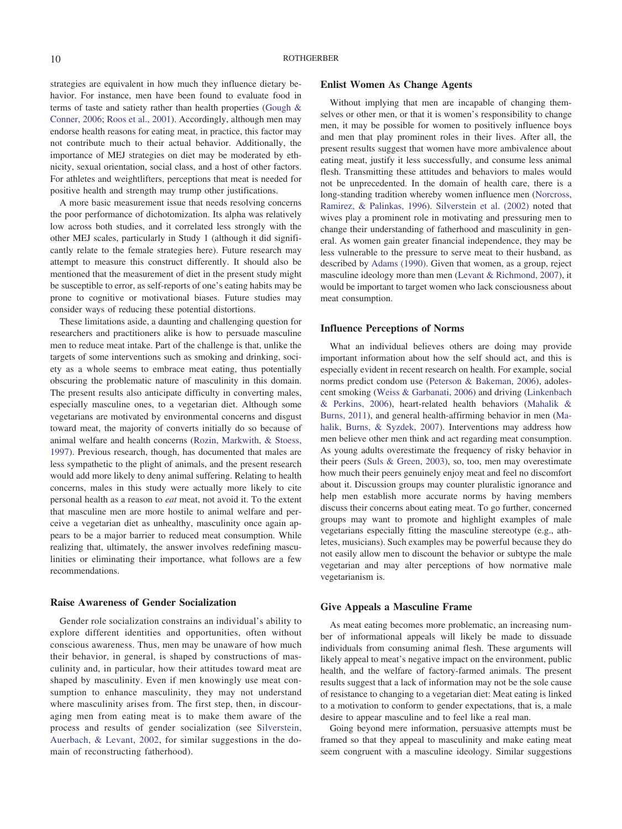strategies are equivalent in how much they influence dietary behavior. For instance, men have been found to evaluate food in terms of taste and satiety rather than health properties (Gough & Conner, 2006; Roos et al., 2001). Accordingly, although men may endorse health reasons for eating meat, in practice, this factor may not contribute much to their actual behavior. Additionally, the importance of MEJ strategies on diet may be moderated by ethnicity, sexual orientation, social class, and a host of other factors. For athletes and weightlifters, perceptions that meat is needed for positive health and strength may trump other justifications.

A more basic measurement issue that needs resolving concerns the poor performance of dichotomization. Its alpha was relatively low across both studies, and it correlated less strongly with the other MEJ scales, particularly in Study 1 (although it did significantly relate to the female strategies here). Future research may attempt to measure this construct differently. It should also be mentioned that the measurement of diet in the present study might be susceptible to error, as self-reports of one's eating habits may be prone to cognitive or motivational biases. Future studies may consider ways of reducing these potential distortions.

These limitations aside, a daunting and challenging question for researchers and practitioners alike is how to persuade masculine men to reduce meat intake. Part of the challenge is that, unlike the targets of some interventions such as smoking and drinking, society as a whole seems to embrace meat eating, thus potentially obscuring the problematic nature of masculinity in this domain. The present results also anticipate difficulty in converting males, especially masculine ones, to a vegetarian diet. Although some vegetarians are motivated by environmental concerns and disgust toward meat, the majority of converts initially do so because of animal welfare and health concerns (Rozin, Markwith, & Stoess, 1997). Previous research, though, has documented that males are less sympathetic to the plight of animals, and the present research would add more likely to deny animal suffering. Relating to health concerns, males in this study were actually more likely to cite personal health as a reason to *eat* meat, not avoid it. To the extent that masculine men are more hostile to animal welfare and perceive a vegetarian diet as unhealthy, masculinity once again appears to be a major barrier to reduced meat consumption. While realizing that, ultimately, the answer involves redefining masculinities or eliminating their importance, what follows are a few recommendations.

#### **Raise Awareness of Gender Socialization**

Gender role socialization constrains an individual's ability to explore different identities and opportunities, often without conscious awareness. Thus, men may be unaware of how much their behavior, in general, is shaped by constructions of masculinity and, in particular, how their attitudes toward meat are shaped by masculinity. Even if men knowingly use meat consumption to enhance masculinity, they may not understand where masculinity arises from. The first step, then, in discouraging men from eating meat is to make them aware of the process and results of gender socialization (see Silverstein, Auerbach, & Levant, 2002, for similar suggestions in the domain of reconstructing fatherhood).

#### **Enlist Women As Change Agents**

Without implying that men are incapable of changing themselves or other men, or that it is women's responsibility to change men, it may be possible for women to positively influence boys and men that play prominent roles in their lives. After all, the present results suggest that women have more ambivalence about eating meat, justify it less successfully, and consume less animal flesh. Transmitting these attitudes and behaviors to males would not be unprecedented. In the domain of health care, there is a long-standing tradition whereby women influence men (Norcross, Ramirez, & Palinkas, 1996). Silverstein et al. (2002) noted that wives play a prominent role in motivating and pressuring men to change their understanding of fatherhood and masculinity in general. As women gain greater financial independence, they may be less vulnerable to the pressure to serve meat to their husband, as described by Adams (1990). Given that women, as a group, reject masculine ideology more than men (Levant & Richmond, 2007), it would be important to target women who lack consciousness about meat consumption.

## **Influence Perceptions of Norms**

What an individual believes others are doing may provide important information about how the self should act, and this is especially evident in recent research on health. For example, social norms predict condom use (Peterson & Bakeman, 2006), adolescent smoking (Weiss & Garbanati, 2006) and driving (Linkenbach & Perkins, 2006), heart-related health behaviors (Mahalik & Burns, 2011), and general health-affirming behavior in men (Mahalik, Burns, & Syzdek, 2007). Interventions may address how men believe other men think and act regarding meat consumption. As young adults overestimate the frequency of risky behavior in their peers (Suls & Green, 2003), so, too, men may overestimate how much their peers genuinely enjoy meat and feel no discomfort about it. Discussion groups may counter pluralistic ignorance and help men establish more accurate norms by having members discuss their concerns about eating meat. To go further, concerned groups may want to promote and highlight examples of male vegetarians especially fitting the masculine stereotype (e.g., athletes, musicians). Such examples may be powerful because they do not easily allow men to discount the behavior or subtype the male vegetarian and may alter perceptions of how normative male vegetarianism is.

#### **Give Appeals a Masculine Frame**

As meat eating becomes more problematic, an increasing number of informational appeals will likely be made to dissuade individuals from consuming animal flesh. These arguments will likely appeal to meat's negative impact on the environment, public health, and the welfare of factory-farmed animals. The present results suggest that a lack of information may not be the sole cause of resistance to changing to a vegetarian diet: Meat eating is linked to a motivation to conform to gender expectations, that is, a male desire to appear masculine and to feel like a real man.

Going beyond mere information, persuasive attempts must be framed so that they appeal to masculinity and make eating meat seem congruent with a masculine ideology. Similar suggestions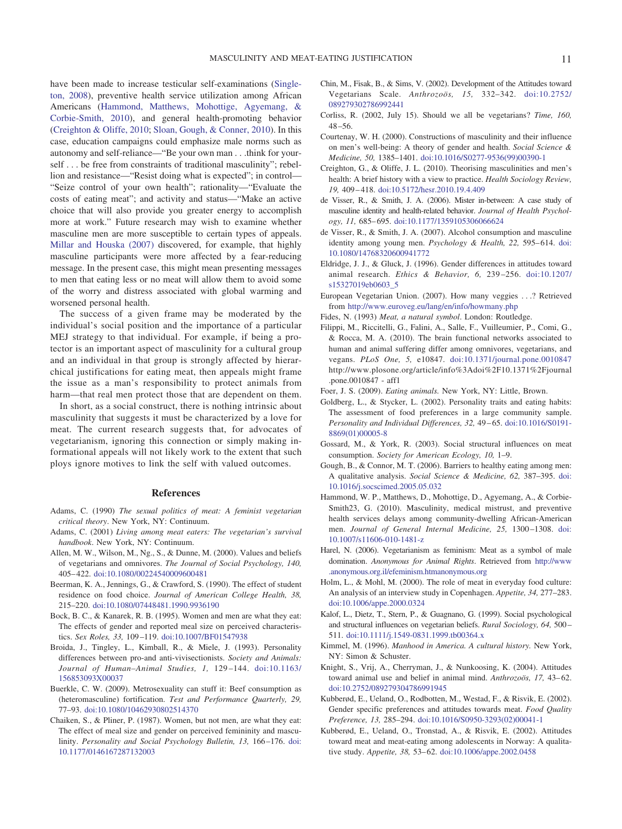have been made to increase testicular self-examinations (Singleton, 2008), preventive health service utilization among African Americans (Hammond, Matthews, Mohottige, Agyemang, & Corbie-Smith, 2010), and general health-promoting behavior (Creighton & Oliffe, 2010; Sloan, Gough, & Conner, 2010). In this case, education campaigns could emphasize male norms such as autonomy and self-reliance—"Be your own man . . .think for yourself . . . be free from constraints of traditional masculinity"; rebellion and resistance—"Resist doing what is expected"; in control— "Seize control of your own health"; rationality—"Evaluate the costs of eating meat"; and activity and status—"Make an active choice that will also provide you greater energy to accomplish more at work." Future research may wish to examine whether masculine men are more susceptible to certain types of appeals. Millar and Houska (2007) discovered, for example, that highly masculine participants were more affected by a fear-reducing message. In the present case, this might mean presenting messages to men that eating less or no meat will allow them to avoid some of the worry and distress associated with global warming and worsened personal health.

The success of a given frame may be moderated by the individual's social position and the importance of a particular MEJ strategy to that individual. For example, if being a protector is an important aspect of masculinity for a cultural group and an individual in that group is strongly affected by hierarchical justifications for eating meat, then appeals might frame the issue as a man's responsibility to protect animals from harm—that real men protect those that are dependent on them.

In short, as a social construct, there is nothing intrinsic about masculinity that suggests it must be characterized by a love for meat. The current research suggests that, for advocates of vegetarianism, ignoring this connection or simply making informational appeals will not likely work to the extent that such ploys ignore motives to link the self with valued outcomes.

#### **References**

- Adams, C. (1990) *The sexual politics of meat: A feminist vegetarian critical theory*. New York, NY: Continuum.
- Adams, C. (2001) *Living among meat eaters: The vegetarian's survival handbook*. New York, NY: Continuum.
- Allen, M. W., Wilson, M., Ng., S., & Dunne, M. (2000). Values and beliefs of vegetarians and omnivores. *The Journal of Social Psychology, 140,* 405– 422. doi:10.1080/00224540009600481
- Beerman, K. A., Jennings, G., & Crawford, S. (1990). The effect of student residence on food choice. *Journal of American College Health, 38,* 215–220. doi:10.1080/07448481.1990.9936190
- Bock, B. C., & Kanarek, R. B. (1995). Women and men are what they eat: The effects of gender and reported meal size on perceived characteristics. *Sex Roles, 33,* 109 –119. doi:10.1007/BF01547938
- Broida, J., Tingley, L., Kimball, R., & Miele, J. (1993). Personality differences between pro-and anti-vivisectionists. *Society and Animals: Journal of Human–Animal Studies, 1,* 129 –144. doi:10.1163/ 156853093X00037
- Buerkle, C. W. (2009). Metrosexuality can stuff it: Beef consumption as (heteromasculine) fortification. *Test and Performance Quarterly, 29,* 77–93. doi:10.1080/10462930802514370
- Chaiken, S., & Pliner, P. (1987). Women, but not men, are what they eat: The effect of meal size and gender on perceived femininity and masculinity. Personality and Social Psychology Bulletin, 13, 166-176. doi: 10.1177/0146167287132003
- Chin, M., Fisak, B., & Sims, V. (2002). Development of the Attitudes toward Vegetarians Scale. *Anthrozoös, 15,* 332–342. doi:10.2752/ 089279302786992441
- Corliss, R. (2002, July 15). Should we all be vegetarians? *Time, 160,*  $48 - 56.$
- Courtenay, W. H. (2000). Constructions of masculinity and their influence on men's well-being: A theory of gender and health. *Social Science & Medicine, 50,* 1385–1401. doi:10.1016/S0277-9536(99)00390-1
- Creighton, G., & Oliffe, J. L. (2010). Theorising masculinities and men's health: A brief history with a view to practice. *Health Sociology Review, 19,* 409 – 418. doi:10.5172/hesr.2010.19.4.409
- de Visser, R., & Smith, J. A. (2006). Mister in-between: A case study of masculine identity and health-related behavior. *Journal of Health Psychology, 11,* 685– 695. doi:10.1177/1359105306066624
- de Visser, R., & Smith, J. A. (2007). Alcohol consumption and masculine identity among young men. Psychology & Health, 22, 595-614. doi: 10.1080/14768320600941772
- Eldridge, J. J., & Gluck, J. (1996). Gender differences in attitudes toward animal research. *Ethics & Behavior, 6,* 239 –256. doi:10.1207/ s15327019eb0603\_5
- European Vegetarian Union. (2007). How many veggies . . .? Retrieved from http://www.euroveg.eu/lang/en/info/howmany.php
- Fides, N. (1993) *Meat, a natural symbol*. London: Routledge.
- Filippi, M., Riccitelli, G., Falini, A., Salle, F., Vuilleumier, P., Comi, G., & Rocca, M. A. (2010). The brain functional networks associated to human and animal suffering differ among omnivores, vegetarians, and vegans. *PLoS One, 5,* e10847. doi:10.1371/journal.pone.0010847 http://www.plosone.org/article/info%3Adoi%2F10.1371%2Fjournal .pone.0010847 - aff1
- Foer, J. S. (2009). *Eating animals.* New York, NY: Little, Brown.
- Goldberg, L., & Stycker, L. (2002). Personality traits and eating habits: The assessment of food preferences in a large community sample. *Personality and Individual Differences, 32,* 49 – 65. doi:10.1016/S0191- 8869(01)00005-8
- Gossard, M., & York, R. (2003). Social structural influences on meat consumption. *Society for American Ecology, 10,* 1–9.
- Gough, B., & Connor, M. T. (2006). Barriers to healthy eating among men: A qualitative analysis. *Social Science & Medicine, 62,* 387–395. doi: 10.1016/j.socscimed.2005.05.032
- Hammond, W. P., Matthews, D., Mohottige, D., Agyemang, A., & Corbie-Smith23, G. (2010). Masculinity, medical mistrust, and preventive health services delays among community-dwelling African-American men. *Journal of General Internal Medicine, 25,* 1300 –1308. doi: 10.1007/s11606-010-1481-z
- Harel, N. (2006). Vegetarianism as feminism: Meat as a symbol of male domination. *Anonymous for Animal Rights*. Retrieved from http://www .anonymous.org.il/efeminism.htmanonymous.org
- Holm, L., & Mohl, M. (2000). The role of meat in everyday food culture: An analysis of an interview study in Copenhagen. *Appetite, 34,* 277–283. doi:10.1006/appe.2000.0324
- Kalof, L., Dietz, T., Stern, P., & Guagnano, G. (1999). Social psychological and structural influences on vegetarian beliefs. *Rural Sociology, 64,* 500 – 511. doi:10.1111/j.1549-0831.1999.tb00364.x
- Kimmel, M. (1996). *Manhood in America. A cultural history.* New York, NY: Simon & Schuster.
- Knight, S., Vrij, A., Cherryman, J., & Nunkoosing, K. (2004). Attitudes toward animal use and belief in animal mind. *Anthrozoös*, 17, 43-62. doi:10.2752/089279304786991945
- Kubberød, E., Ueland, O., Rodbotten, M., Westad, F., & Risvik, E. (2002). Gender specific preferences and attitudes towards meat. *Food Quality Preference, 13,* 285–294. doi:10.1016/S0950-3293(02)00041-1
- Kubberød, E., Ueland, O., Tronstad, A., & Risvik, E. (2002). Attitudes toward meat and meat-eating among adolescents in Norway: A qualitative study. *Appetite*, 38, 53–62. doi:10.1006/appe.2002.0458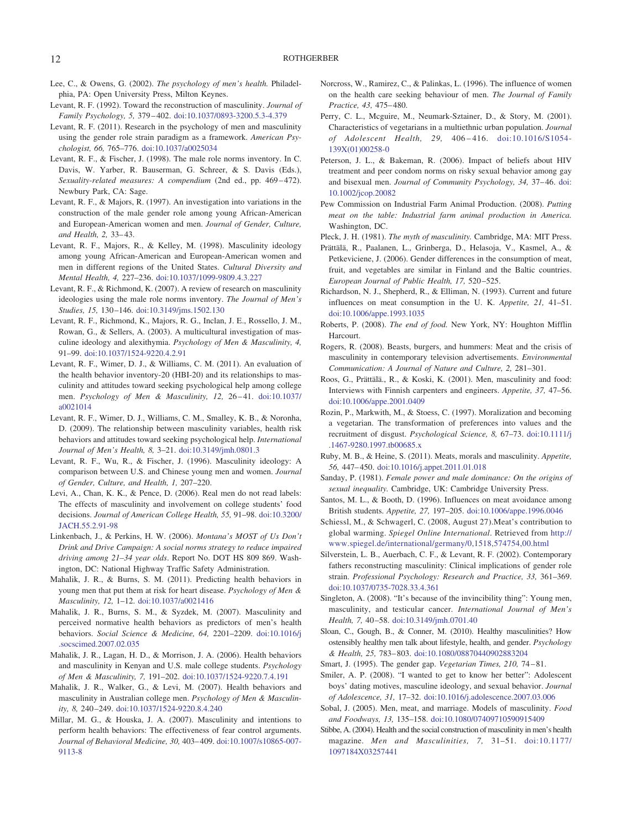- Lee, C., & Owens, G. (2002). *The psychology of men's health.* Philadelphia, PA: Open University Press, Milton Keynes.
- Levant, R. F. (1992). Toward the reconstruction of masculinity. *Journal of Family Psychology, 5,* 379 – 402. doi:10.1037/0893-3200.5.3-4.379
- Levant, R. F. (2011). Research in the psychology of men and masculinity using the gender role strain paradigm as a framework. *American Psychologist, 66,* 765–776. doi:10.1037/a0025034
- Levant, R. F., & Fischer, J. (1998). The male role norms inventory. In C. Davis, W. Yarber, R. Bauserman, G. Schreer, & S. Davis (Eds.), *Sexuality-related measures: A compendium (2nd ed., pp. 469-472).* Newbury Park, CA: Sage.
- Levant, R. F., & Majors, R. (1997). An investigation into variations in the construction of the male gender role among young African-American and European-American women and men. *Journal of Gender, Culture, and Health, 2,* 33– 43.
- Levant, R. F., Majors, R., & Kelley, M. (1998). Masculinity ideology among young African-American and European-American women and men in different regions of the United States. *Cultural Diversity and Mental Health, 4,* 227–236. doi:10.1037/1099-9809.4.3.227
- Levant, R. F., & Richmond, K. (2007). A review of research on masculinity ideologies using the male role norms inventory. *The Journal of Men's Studies, 15,* 130 –146. doi:10.3149/jms.1502.130
- Levant, R. F., Richmond, K., Majors, R. G., Inclan, J. E., Rossello, J. M., Rowan, G., & Sellers, A. (2003). A multicultural investigation of masculine ideology and alexithymia. *Psychology of Men & Masculinity, 4,* 91–99. doi:10.1037/1524-9220.4.2.91
- Levant, R. F., Wimer, D. J., & Williams, C. M. (2011). An evaluation of the health behavior inventory-20 (HBI-20) and its relationships to masculinity and attitudes toward seeking psychological help among college men. *Psychology of Men & Masculinity, 12,* 26 – 41. doi:10.1037/ a0021014
- Levant, R. F., Wimer, D. J., Williams, C. M., Smalley, K. B., & Noronha, D. (2009). The relationship between masculinity variables, health risk behaviors and attitudes toward seeking psychological help. *International Journal of Men's Health, 8,* 3–21. doi:10.3149/jmh.0801.3
- Levant, R. F., Wu, R., & Fischer, J. (1996). Masculinity ideology: A comparison between U.S. and Chinese young men and women. *Journal of Gender, Culture, and Health, 1,* 207–220.
- Levi, A., Chan, K. K., & Pence, D. (2006). Real men do not read labels: The effects of masculinity and involvement on college students' food decisions. *Journal of American College Health, 55,* 91–98. doi:10.3200/ JACH.55.2.91-98
- Linkenbach, J., & Perkins, H. W. (2006). *Montana's MOST of Us Don't Drink and Drive Campaign: A social norms strategy to reduce impaired driving among 21–34 year olds*. Report No. DOT HS 809 869. Washington, DC: National Highway Traffic Safety Administration.
- Mahalik, J. R., & Burns, S. M. (2011). Predicting health behaviors in young men that put them at risk for heart disease. *Psychology of Men & Masculinity, 12,* 1–12. doi:10.1037/a0021416
- Mahalik, J. R., Burns, S. M., & Syzdek, M. (2007). Masculinity and perceived normative health behaviors as predictors of men's health behaviors. *Social Science & Medicine, 64,* 2201–2209. doi:10.1016/j .socscimed.2007.02.035
- Mahalik, J. R., Lagan, H. D., & Morrison, J. A. (2006). Health behaviors and masculinity in Kenyan and U.S. male college students. *Psychology of Men & Masculinity, 7,* 191–202. doi:10.1037/1524-9220.7.4.191
- Mahalik, J. R., Walker, G., & Levi, M. (2007). Health behaviors and masculinity in Australian college men. *Psychology of Men & Masculinity, 8,* 240 –249. doi:10.1037/1524-9220.8.4.240
- Millar, M. G., & Houska, J. A. (2007). Masculinity and intentions to perform health behaviors: The effectiveness of fear control arguments. *Journal of Behavioral Medicine, 30,* 403– 409. doi:10.1007/s10865-007- 9113-8
- Norcross, W., Ramirez, C., & Palinkas, L. (1996). The influence of women on the health care seeking behaviour of men. *The Journal of Family Practice, 43,* 475– 480.
- Perry, C. L., Mcguire, M., Neumark-Sztainer, D., & Story, M. (2001). Characteristics of vegetarians in a multiethnic urban population. *Journal of Adolescent Health, 29,* 406 – 416. doi:10.1016/S1054- 139X(01)00258-0
- Peterson, J. L., & Bakeman, R. (2006). Impact of beliefs about HIV treatment and peer condom norms on risky sexual behavior among gay and bisexual men. *Journal of Community Psychology, 34,* 37– 46. doi: 10.1002/jcop.20082
- Pew Commission on Industrial Farm Animal Production. (2008). *Putting meat on the table: Industrial farm animal production in America.* Washington, DC.

Pleck, J. H. (1981). *The myth of masculinity.* Cambridge, MA: MIT Press.

- Prättälä, R., Paalanen, L., Grinberga, D., Helasoja, V., Kasmel, A., & Petkeviciene, J. (2006). Gender differences in the consumption of meat, fruit, and vegetables are similar in Finland and the Baltic countries. *European Journal of Public Health, 17,* 520 –525.
- Richardson, N. J., Shepherd, R., & Elliman, N. (1993). Current and future influences on meat consumption in the U. K. *Appetite, 21,* 41–51. doi:10.1006/appe.1993.1035
- Roberts, P. (2008). *The end of food.* New York, NY: Houghton Mifflin Harcourt.
- Rogers, R. (2008). Beasts, burgers, and hummers: Meat and the crisis of masculinity in contemporary television advertisements. *Environmental Communication: A Journal of Nature and Culture, 2,* 281–301.
- Roos, G., Prättälä., R., & Koski, K. (2001). Men, masculinity and food: Interviews with Finnish carpenters and engineers. *Appetite, 37,* 47–56. doi:10.1006/appe.2001.0409
- Rozin, P., Markwith, M., & Stoess, C. (1997). Moralization and becoming a vegetarian. The transformation of preferences into values and the recruitment of disgust. *Psychological Science, 8,* 67–73. doi:10.1111/j .1467-9280.1997.tb00685.x
- Ruby, M. B., & Heine, S. (2011). Meats, morals and masculinity. *Appetite, 56,* 447– 450. doi:10.1016/j.appet.2011.01.018
- Sanday, P. (1981). *Female power and male dominance: On the origins of sexual inequality.* Cambridge, UK: Cambridge University Press.
- Santos, M. L., & Booth, D. (1996). Influences on meat avoidance among British students. *Appetite, 27,* 197–205. doi:10.1006/appe.1996.0046
- Schiessl, M., & Schwagerl, C. (2008, August 27).Meat's contribution to global warming. *Spiegel Online International*. Retrieved from http:// www.spiegel.de/international/germany/0,1518,574754,00.html
- Silverstein, L. B., Auerbach, C. F., & Levant, R. F. (2002). Contemporary fathers reconstructing masculinity: Clinical implications of gender role strain. *Professional Psychology: Research and Practice, 33,* 361–369. doi:10.1037/0735-7028.33.4.361
- Singleton, A. (2008). "It's because of the invincibility thing": Young men, masculinity, and testicular cancer. *International Journal of Men's Health, 7,* 40 –58. doi:10.3149/jmh.0701.40
- Sloan, C., Gough, B., & Conner, M. (2010). Healthy masculinities? How ostensibly healthy men talk about lifestyle, health, and gender. *Psychology & Health, 25,* 783– 803. doi:10.1080/08870440902883204
- Smart, J. (1995). The gender gap. *Vegetarian Times, 210,* 74 81.
- Smiler, A. P. (2008). "I wanted to get to know her better": Adolescent boys' dating motives, masculine ideology, and sexual behavior. *Journal of Adolescence, 31,* 17–32. doi:10.1016/j.adolescence.2007.03.006
- Sobal, J. (2005). Men, meat, and marriage. Models of masculinity. *Food and Foodways, 13,* 135–158. doi:10.1080/07409710590915409
- Stibbe, A. (2004). Health and the social construction of masculinity in men's health magazine. *Men and Masculinities, 7,* 31–51. doi:10.1177/ 1097184X03257441